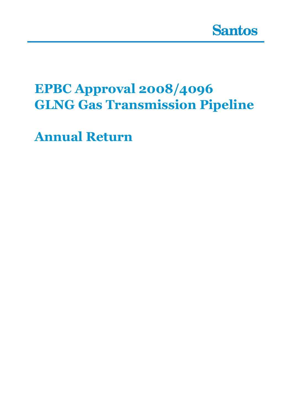

# **EPBC Approval 2008/4096 GLNG Gas Transmission Pipeline**

**Annual Return**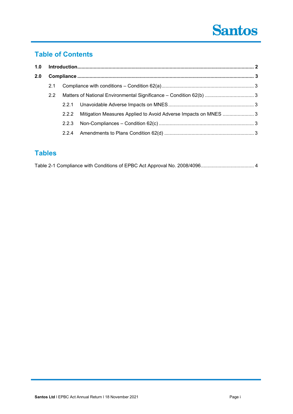# **Santos**

## **Table of Contents**

| 1.0 |               |       |                                                                     |  |
|-----|---------------|-------|---------------------------------------------------------------------|--|
| 2.0 |               |       |                                                                     |  |
|     | 2.1           |       |                                                                     |  |
|     | $2.2^{\circ}$ |       | Matters of National Environmental Significance - Condition 62(b)  3 |  |
|     |               | 2.2.1 |                                                                     |  |
|     |               | 2.2.2 | Mitigation Measures Applied to Avoid Adverse Impacts on MNES  3     |  |
|     |               | 2.2.3 |                                                                     |  |
|     |               |       |                                                                     |  |
|     |               |       |                                                                     |  |

### **Tables**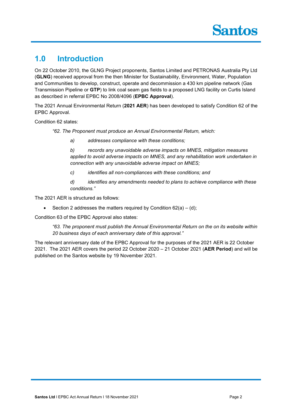### **1.0 Introduction**

On 22 October 2010, the GLNG Project proponents, Santos Limited and PETRONAS Australia Pty Ltd (**GLNG**) received approval from the then Minister for Sustainability, Environment, Water, Population and Communities to develop, construct, operate and decommission a 430 km pipeline network (Gas Transmission Pipeline or **GTP**) to link coal seam gas fields to a proposed LNG facility on Curtis Island as described in referral EPBC No 2008/4096 (**EPBC Approval**).

The 2021 Annual Environmental Return (**2021 AER**) has been developed to satisfy Condition 62 of the EPBC Approval.

Condition 62 states:

*"62. The Proponent must produce an Annual Environmental Return, which:*

*a) addresses compliance with these conditions;*

*b) records any unavoidable adverse impacts on MNES, mitigation measures applied to avoid adverse impacts on MNES, and any rehabilitation work undertaken in connection with any unavoidable adverse impact on MNES;*

*c) identifies all non-compliances with these conditions; and*

*d) identifies any amendments needed to plans to achieve compliance with these conditions."*

The 2021 AER is structured as follows:

• Section 2 addresses the matters required by Condition  $62(a) - (d)$ ;

Condition 63 of the EPBC Approval also states:

*"63. The proponent must publish the Annual Environmental Return on the on its website within 20 business days of each anniversary date of this approval."*

The relevant anniversary date of the EPBC Approval for the purposes of the 2021 AER is 22 October 2021. The 2021 AER covers the period 22 October 2020 – 21 October 2021 (**AER Period**) and will be published on the Santos website by 19 November 2021.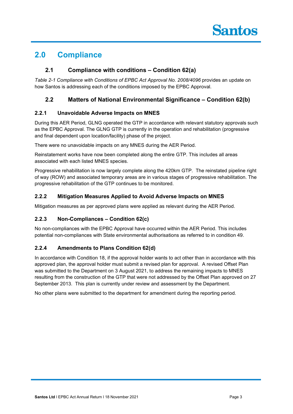### **2.0 Compliance**

### **2.1 Compliance with conditions – Condition 62(a)**

*Table 2-1 Compliance with Conditions of EPBC Act Approval No. 2008/4096* provides an update on how Santos is addressing each of the conditions imposed by the EPBC Approval.

### **2.2 Matters of National Environmental Significance – Condition 62(b)**

#### **2.2.1 Unavoidable Adverse Impacts on MNES**

During this AER Period, GLNG operated the GTP in accordance with relevant statutory approvals such as the EPBC Approval. The GLNG GTP is currently in the operation and rehabilitation (progressive and final dependent upon location/facility) phase of the project.

There were no unavoidable impacts on any MNES during the AER Period.

Reinstatement works have now been completed along the entire GTP. This includes all areas associated with each listed MNES species.

Progressive rehabilitation is now largely complete along the 420km GTP. The reinstated pipeline right of way (ROW) and associated temporary areas are in various stages of progressive rehabilitation. The progressive rehabilitation of the GTP continues to be monitored.

#### **2.2.2 Mitigation Measures Applied to Avoid Adverse Impacts on MNES**

Mitigation measures as per approved plans were applied as relevant during the AER Period.

#### **2.2.3 Non-Compliances – Condition 62(c)**

No non-compliances with the EPBC Approval have occurred within the AER Period. This includes potential non-compliances with State environmental authorisations as referred to in condition 49.

#### **2.2.4 Amendments to Plans Condition 62(d)**

In accordance with Condition 18, if the approval holder wants to act other than in accordance with this approved plan, the approval holder must submit a revised plan for approval. A revised Offset Plan was submitted to the Department on 3 August 2021, to address the remaining impacts to MNES resulting from the construction of the GTP that were not addressed by the Offset Plan approved on 27 September 2013. This plan is currently under review and assessment by the Department.

No other plans were submitted to the department for amendment during the reporting period.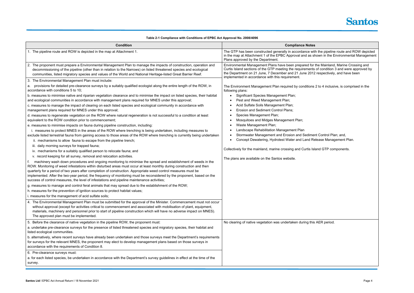| Table 2-1 Compliance with Conditions of EPBC Act Approval No. 2008/4096                                                                                                                                                                                                                                                                                                                                                                                                                                                                                                             |                                                                                                                                                                               |  |
|-------------------------------------------------------------------------------------------------------------------------------------------------------------------------------------------------------------------------------------------------------------------------------------------------------------------------------------------------------------------------------------------------------------------------------------------------------------------------------------------------------------------------------------------------------------------------------------|-------------------------------------------------------------------------------------------------------------------------------------------------------------------------------|--|
| <b>Condition</b>                                                                                                                                                                                                                                                                                                                                                                                                                                                                                                                                                                    | <b>Compliance Notes</b>                                                                                                                                                       |  |
| 1. The pipeline route and ROW is depicted in the map at Attachment 1.                                                                                                                                                                                                                                                                                                                                                                                                                                                                                                               | The GTP has been constructed generally in accordance wit<br>in the map at Attachment 1 of the EPBC Approval and as sl<br>Plans approved by the Department.                    |  |
| 2. The proponent must prepare a Environmental Management Plan to manage the impacts of construction, operation and<br>decommissioning of the pipeline (other than in relation to the Narrows) on listed threatened species and ecological<br>communities, listed migratory species and values of the World and National Heritage-listed Great Barrier Reef.                                                                                                                                                                                                                         | Environmental Management Plans have been prepared for<br>Curtis Island sections of the GTP meeting the requirements<br>the Department on 21 June, 7 December and 21 June 2012 |  |
| 3. The Environmental Management Plan must include:                                                                                                                                                                                                                                                                                                                                                                                                                                                                                                                                  | implemented in accordance with this requirement.                                                                                                                              |  |
| provisions for detailed pre-clearance surveys by a suitably qualified ecologist along the entire length of the ROW, in<br>а.<br>accordance with conditions 5 to 10;<br>b. measures to minimise native and riparian vegetation clearance and to minimise the impact on listed species, their habitat                                                                                                                                                                                                                                                                                 | The Environment Management Plan required by conditions<br>following plans:<br>Significant Species Management Plan;                                                            |  |
| and ecological communities in accordance with management plans required for MNES under this approval;                                                                                                                                                                                                                                                                                                                                                                                                                                                                               | Pest and Weed Management Plan;                                                                                                                                                |  |
| c. measures to manage the impact of clearing on each listed species and ecological community in accordance with<br>management plans required for MNES under this approval;                                                                                                                                                                                                                                                                                                                                                                                                          | Acid Sulfate Soils Management Plan;<br><b>Erosion and Sediment Control Plans;</b>                                                                                             |  |
| d. measures to regenerate vegetation on the ROW where natural regeneration is not successful to a condition at least<br>equivalent to the ROW condition prior to commencement;                                                                                                                                                                                                                                                                                                                                                                                                      | Species Management Plan;<br>Mosquitoes and Midges Management Plan;                                                                                                            |  |
| e. measures to minimise impacts on fauna during pipeline construction, including:                                                                                                                                                                                                                                                                                                                                                                                                                                                                                                   | Waste Management Plan;                                                                                                                                                        |  |
| i. measures to protect MNES in the areas of the ROW where trenching is being undertaken, including measures to                                                                                                                                                                                                                                                                                                                                                                                                                                                                      | Landscape Rehabilitation Management Plan                                                                                                                                      |  |
| exclude listed terrestrial fauna from gaining access to those areas of the ROW where trenching is currently being undertaken                                                                                                                                                                                                                                                                                                                                                                                                                                                        | Stormwater Management and Erosion and Sedimer                                                                                                                                 |  |
| ii. mechanisms to allow fauna to escape from the pipeline trench;                                                                                                                                                                                                                                                                                                                                                                                                                                                                                                                   | Concept Dewatering, Hydrotest Water and Land Re                                                                                                                               |  |
| iii. daily morning surveys for trapped fauna;                                                                                                                                                                                                                                                                                                                                                                                                                                                                                                                                       | Collectively for the mainland, marine crossing and Curtis Isl                                                                                                                 |  |
| iv. mechanisms for a suitably qualified person to relocate fauna; and                                                                                                                                                                                                                                                                                                                                                                                                                                                                                                               |                                                                                                                                                                               |  |
| v. record keeping for all survey, removal and relocation activities.                                                                                                                                                                                                                                                                                                                                                                                                                                                                                                                | The plans are available on the Santos website.                                                                                                                                |  |
| machinery wash down procedures and ongoing monitoring to minimise the spread and establishment of weeds in the<br>ROW. Monitoring of weed infestations within disturbed areas must occur at least monthly during construction and then<br>quarterly for a period of two years after completion of construction. Appropriate weed control measures must be<br>implemented. After the two-year period, the frequency of monitoring must be reconsidered by the proponent, based on the<br>success of control measures, the level of infestations and pipeline maintenance activities; |                                                                                                                                                                               |  |
| g. measures to manage and control feral animals that may spread due to the establishment of the ROW;                                                                                                                                                                                                                                                                                                                                                                                                                                                                                |                                                                                                                                                                               |  |
| h. measures for the prevention of ignition sources to protect habitat values;<br>i. measures for the management of acid sulfate soils;                                                                                                                                                                                                                                                                                                                                                                                                                                              |                                                                                                                                                                               |  |
| 4. The Environmental Management Plan must be submitted for the approval of the Minister. Commencement must not occur<br>without approval (except for activities critical to commencement and associated with mobilisation of plant, equipment,<br>materials, machinery and personnel prior to start of pipeline construction which will have no adverse impact on MNES).<br>The approved plan must be implemented.                                                                                                                                                                  |                                                                                                                                                                               |  |
| 5. Before the clearance of native vegetation in the pipeline ROW, the proponent must:                                                                                                                                                                                                                                                                                                                                                                                                                                                                                               | No clearing of native vegetation was undertaken during this                                                                                                                   |  |
| a. undertake pre-clearance surveys for the presence of listed threatened species and migratory species, their habitat and<br>listed ecological communities.                                                                                                                                                                                                                                                                                                                                                                                                                         |                                                                                                                                                                               |  |
| b. alternatively, where recent surveys have already been undertaken and those surveys meet the Department's requirements<br>for surveys for the relevant MNES, the proponent may elect to develop management plans based on those surveys in<br>accordance with the requirements of Condition 8.                                                                                                                                                                                                                                                                                    |                                                                                                                                                                               |  |
| 6. Pre-clearance surveys must:                                                                                                                                                                                                                                                                                                                                                                                                                                                                                                                                                      |                                                                                                                                                                               |  |
| a. for each listed species, be undertaken in accordance with the Department's survey guidelines in effect at the time of the<br>survey.                                                                                                                                                                                                                                                                                                                                                                                                                                             |                                                                                                                                                                               |  |

Santos Ltd I EPBC Act Annual Return I 18 November 2021 **Page 4** 



with the pipeline route and ROW depicted  $s$  shown in the Environmental Management

or the Mainland, Marine Crossing and hts of condition 3 and were approved by 112 respectively, and have been

ns 2 to 4 inclusive, is comprised in the

nent Control Plan; and, Release Management Plan.

Island GTP components.

his AER period.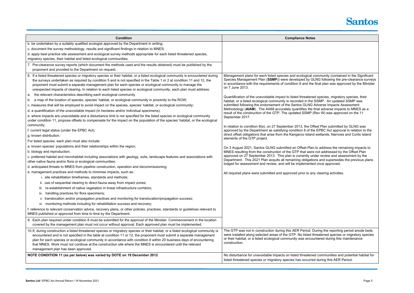| <b>Condition</b>                                                                                                                                                                         | <b>Compliance Notes</b>                                                                                                                                                                               |
|------------------------------------------------------------------------------------------------------------------------------------------------------------------------------------------|-------------------------------------------------------------------------------------------------------------------------------------------------------------------------------------------------------|
| b. be undertaken by a suitably qualified ecologist approved by the Department in writing;                                                                                                |                                                                                                                                                                                                       |
| c. document the survey methodology, results and significant findings in relation to MNES;                                                                                                |                                                                                                                                                                                                       |
| d. apply best practice site assessment and ecological survey methods appropriate for each listed threatened species,                                                                     |                                                                                                                                                                                                       |
| migratory species, their habitat and listed ecological communities.                                                                                                                      |                                                                                                                                                                                                       |
| Pre-clearance survey reports (which document the methods used and the results obtained) must be published by the<br>proponent and provided to the Department on request.                 |                                                                                                                                                                                                       |
| 8. If a listed threatened species or migratory species or their habitat, or a listed ecological community is encountered during                                                          | Management plans for each listed species and ecological community (contained in the Significant                                                                                                       |
| the surveys undertaken as required by condition 5 and is not specified in the Table 1 or 2 at condition 11 and 12, the                                                                   | Species Management Plan (SSMP)) were developed by GLNG following the pre-clearance surveys                                                                                                            |
| proponent must submit a separate management plan for each species or ecological community to manage the                                                                                  | in accordance with the requirements of condition 8 and the final plan was approved by the Minister                                                                                                    |
| unexpected impacts of clearing. In relation to each listed species or ecological community, each plan must address:                                                                      | on 7 June 2013.                                                                                                                                                                                       |
| the relevant characteristics describing each ecological community<br>а.                                                                                                                  | Quantification of the unavoidable impact to listed threatened species, migratory species, their                                                                                                       |
| b. a map of the location of species, species' habitat, or ecological community in proximity to the ROW;                                                                                  | habitat, or a listed ecological community is recorded in the SSMP. An updated SSMP was                                                                                                                |
| c. measures that will be employed to avoid impact on the species, species' habitat, or ecological community;                                                                             | submitted following the endorsement of the Santos GLNG Adverse Impacts Assessment                                                                                                                     |
| d. a quantification of the unavoidable impact (in hectares and/or individual specimens);                                                                                                 | Methodology (AIAM). The AIAM accurately quantifies the final adverse impacts to MNES as a<br>result of the construction of the GTP. The updated SSMP (Rev W) was approved on the 11                   |
| e. where impacts are unavoidable and a disturbance limit is not specified for the listed species or ecological community                                                                 | September 2017.                                                                                                                                                                                       |
| under condition 11, propose offsets to compensate for the impact on the population of the species' habitat, or the ecological                                                            |                                                                                                                                                                                                       |
| community;                                                                                                                                                                               | In relation to condition 8(e), on 27 September 2013, the Offset Plan submitted by GLNG was                                                                                                            |
| f. current legal status (under the EPBC Act);                                                                                                                                            | approved by the Department as satisfying condition 8 of the EPBC Act approval in relation to the<br>direct offset obligations that arise from the Kangaroo Island wetlands, Narrows and Curtis Island |
| g. known distribution.                                                                                                                                                                   | elements of the GTP project.                                                                                                                                                                          |
| For listed species, each plan must also include:                                                                                                                                         |                                                                                                                                                                                                       |
| a. known species' populations and their relationships within the region;                                                                                                                 | On 3 August 2021, Santos GLNG submitted an Offset Plan to address the remaining impacts to                                                                                                            |
| b. biology and reproduction;                                                                                                                                                             | MNES resulting from the construction of the GTP that were not addressed by the Offset Plan<br>approved on 27 September 2013. This plan is currently under review and assessment by the                |
| c. preferred habitat and microhabitat including associations with geology, soils, landscape features and associations with<br>other native fauna and/or flora or ecological communities; | Department. This 2021 Plan acquits all remaining obligations and supersedes the previous plans                                                                                                        |
| d. anticipated threats to MNES from pipeline construction, operation and decommissioning;                                                                                                | lodged for assessment and review, and will be implemented once approved.                                                                                                                              |
| e. management practices and methods to minimise impacts, such as:                                                                                                                        |                                                                                                                                                                                                       |
| i. site rehabilitation timeframes, standards and methods;                                                                                                                                | All required plans were submitted and approved prior to any clearing activities.                                                                                                                      |
| ii. use of sequential clearing to direct fauna away from impact zones;                                                                                                                   |                                                                                                                                                                                                       |
| iii. re-establishment of native vegetation in linear infrastructure corridors;                                                                                                           |                                                                                                                                                                                                       |
| iv. handling practices for flora specimens;                                                                                                                                              |                                                                                                                                                                                                       |
| v. translocation and/or propagation practices and monitoring for translocation/propagation success;                                                                                      |                                                                                                                                                                                                       |
| vi. monitoring methods including for rehabilitation success and recovery;                                                                                                                |                                                                                                                                                                                                       |
| f. reference to relevant conservation advice, recovery plans, or other policies, practices, standards or guidelines relevant to                                                          |                                                                                                                                                                                                       |
| MNES published or approved from time to time by the Department.                                                                                                                          |                                                                                                                                                                                                       |
| 9. Each plan required under condition 8 must be submitted for the approval of the Minister. Commencement in the location                                                                 |                                                                                                                                                                                                       |
| covered by the management plan must not occur without approval. Each approved plan must be implemented.                                                                                  |                                                                                                                                                                                                       |
| 10.If, during construction a listed threatened species or migratory species or their habitat, or a listed ecological community is                                                        | The GTP was not in construction during this AER Period. During the reporting period anode beds                                                                                                        |
| encountered and is not specified in the table at condition 11 or 12, the proponent must submit a separate management                                                                     | were installed along selected areas of the GTP. No listed threatened species or migratory species                                                                                                     |
| plan for each species or ecological community in accordance with condition 8 within 20 business days of encountering                                                                     | or their habitat, or a listed ecological community was encountered during this maintenance<br>construction.                                                                                           |
| that MNES. Work must not continue at the construction site where the MNES is encountered until the relevant                                                                              |                                                                                                                                                                                                       |
| management plan has been approved.                                                                                                                                                       |                                                                                                                                                                                                       |
| NOTE CONDITION 11 (as per below) was varied by DOTE on 19 December 2012                                                                                                                  | No disturbance for unavoidable impacts on listed threatened communities and potential habitat for                                                                                                     |
|                                                                                                                                                                                          | listed threatened species or migratory species has occurred during this AER Period.                                                                                                                   |

# **Santos**

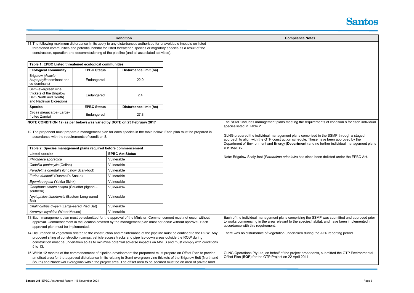|                                                                                                                                                                                                                                                                                                                                                                               |                    | <b>Condition</b>       |                                                                                                                                                                                                                                                                               | <b>Compliance Notes</b>                                                                                                                                                                                                            |
|-------------------------------------------------------------------------------------------------------------------------------------------------------------------------------------------------------------------------------------------------------------------------------------------------------------------------------------------------------------------------------|--------------------|------------------------|-------------------------------------------------------------------------------------------------------------------------------------------------------------------------------------------------------------------------------------------------------------------------------|------------------------------------------------------------------------------------------------------------------------------------------------------------------------------------------------------------------------------------|
| 11. The following maximum disturbance limits apply to any disturbances authorised for unavoidable impacts on listed<br>threatened communities and potential habitat for listed threatened species or migratory species as a result of the<br>construction, operation and decommissioning of the pipeline (and all associated activities).                                     |                    |                        |                                                                                                                                                                                                                                                                               |                                                                                                                                                                                                                                    |
| Table 1: EPBC Listed threatened ecological communities                                                                                                                                                                                                                                                                                                                        |                    |                        |                                                                                                                                                                                                                                                                               |                                                                                                                                                                                                                                    |
| <b>Ecological community</b>                                                                                                                                                                                                                                                                                                                                                   | <b>EPBC Status</b> | Disturbance limit (ha) |                                                                                                                                                                                                                                                                               |                                                                                                                                                                                                                                    |
| Brigalow (Acacia<br>harpophylia dominant and<br>co-dominant)                                                                                                                                                                                                                                                                                                                  | Endangered         | 22.0                   |                                                                                                                                                                                                                                                                               |                                                                                                                                                                                                                                    |
| Semi-evergreen vine<br>thickets of the Brigalow<br>Belt (North and South)<br>and Nadewar Bioregions                                                                                                                                                                                                                                                                           | Endangered         | 2.4                    |                                                                                                                                                                                                                                                                               |                                                                                                                                                                                                                                    |
| <b>Species</b>                                                                                                                                                                                                                                                                                                                                                                | <b>EPBC Status</b> | Disturbance limit (ha) |                                                                                                                                                                                                                                                                               |                                                                                                                                                                                                                                    |
| Cycas megacarpa (Large-<br>fruited Zamia)                                                                                                                                                                                                                                                                                                                                     | Endangered         | 27.8                   |                                                                                                                                                                                                                                                                               |                                                                                                                                                                                                                                    |
| NOTE CONDITION 12 (as per below) was varied by DOTE on 23 February 2017                                                                                                                                                                                                                                                                                                       |                    |                        |                                                                                                                                                                                                                                                                               | The SSMP includes management plans meeting the requirements of condition 8 for each individual<br>species listed in Table 2.                                                                                                       |
| 12. The proponent must prepare a management plan for each species in the table below. Each plan must be prepared in<br>accordance with the requirements of condition 8.                                                                                                                                                                                                       |                    |                        | GLNG prepared the individual management plans comprised in the SSMP through a staged<br>approach to align with the GTP construction schedule. These have been approved by the<br>Department of Environment and Energy (Department) and no further individual management plans |                                                                                                                                                                                                                                    |
| Table 2: Species management plans required before commencement                                                                                                                                                                                                                                                                                                                |                    |                        |                                                                                                                                                                                                                                                                               | are required.                                                                                                                                                                                                                      |
| <b>Listed species</b>                                                                                                                                                                                                                                                                                                                                                         |                    | <b>EPBC Act Status</b> |                                                                                                                                                                                                                                                                               |                                                                                                                                                                                                                                    |
| Philotheca sporadica                                                                                                                                                                                                                                                                                                                                                          |                    | Vulnerable             |                                                                                                                                                                                                                                                                               | Note: Brigalow Scaly-foot (Paradelma orientalis) has since been delisted under the EPBC Act.                                                                                                                                       |
| Cadellia pentasylis (Ooline)                                                                                                                                                                                                                                                                                                                                                  |                    | Vulnerable             |                                                                                                                                                                                                                                                                               |                                                                                                                                                                                                                                    |
| Paradelma orientalis (Brigalow Scaly-foot)                                                                                                                                                                                                                                                                                                                                    |                    | Vulnerable             |                                                                                                                                                                                                                                                                               |                                                                                                                                                                                                                                    |
| Furina dunmalli (Dunmall's Snake)                                                                                                                                                                                                                                                                                                                                             |                    | Vulnerable             |                                                                                                                                                                                                                                                                               |                                                                                                                                                                                                                                    |
| Egernia rugosa (Yakka Skink)                                                                                                                                                                                                                                                                                                                                                  |                    | Vulnerable             |                                                                                                                                                                                                                                                                               |                                                                                                                                                                                                                                    |
| Geophaps scripta scripta (Squatter pigeon -<br>southern)                                                                                                                                                                                                                                                                                                                      |                    | Vulnerable             |                                                                                                                                                                                                                                                                               |                                                                                                                                                                                                                                    |
| Nyctophilus timoriensis (Eastern Long-eared<br>Bat)                                                                                                                                                                                                                                                                                                                           |                    | Vulnerable             |                                                                                                                                                                                                                                                                               |                                                                                                                                                                                                                                    |
| Chalinolobus dwyeri (Large-eared Pied Bat)                                                                                                                                                                                                                                                                                                                                    |                    | Vulnerable             |                                                                                                                                                                                                                                                                               |                                                                                                                                                                                                                                    |
| Xeromys myoides (Water Mouse)                                                                                                                                                                                                                                                                                                                                                 |                    | Vulnerable             |                                                                                                                                                                                                                                                                               |                                                                                                                                                                                                                                    |
| 13. Each management plan must be submitted for the approval of the Minister. Commencement must not occur without<br>approval. Commencement in the location covered by the management plan must not occur without approval. Each<br>approved plan must be implemented.                                                                                                         |                    |                        |                                                                                                                                                                                                                                                                               | Each of the individual management plans comprising the SSMP was submitted and approved prior<br>to works commencing in the area relevant to the species/habitat, and have been implemented in<br>accordance with this requirement. |
| 14. Disturbance of vegetation related to the construction and maintenance of the pipeline must be confined to the ROW. Any<br>proposed siting of construction camps, vehicle access tracks and pipe lay-down areas outside the ROW during<br>construction must be undertaken so as to minimise potential adverse impacts on MNES and must comply with conditions<br>5 to 13.  |                    |                        |                                                                                                                                                                                                                                                                               | There was no disturbance of vegetation undertaken during the AER reporting period.                                                                                                                                                 |
| 15. Within 12 months of the commencement of pipeline development the proponent must prepare an Offset Plan to provide<br>an offset area for the approved disturbance limits relating to Semi-evergreen vine thickets of the Brigalow Belt (North and<br>South) and Nandewar Bioregions within the project area. The offset area to be secured must be an area of private land |                    |                        |                                                                                                                                                                                                                                                                               | GLNG Operations Pty Ltd, on behalf of the project proponents, submitted the GTP Environmental<br>Offset Plan (EOP) for the GTP Project on 22 April 2011.                                                                           |



| es                                                                             |
|--------------------------------------------------------------------------------|
|                                                                                |
|                                                                                |
|                                                                                |
|                                                                                |
|                                                                                |
|                                                                                |
|                                                                                |
|                                                                                |
|                                                                                |
|                                                                                |
|                                                                                |
|                                                                                |
| irements of condition 8 for each individual                                    |
|                                                                                |
| sed in the SSMP through a staged                                               |
| ese have been approved by the<br>d no further individual management plans      |
|                                                                                |
| e been delisted under the EPBC Act.                                            |
|                                                                                |
|                                                                                |
|                                                                                |
|                                                                                |
|                                                                                |
|                                                                                |
|                                                                                |
|                                                                                |
|                                                                                |
| SSMP was submitted and approved prior<br>habitat, and have been implemented in |
|                                                                                |
| g the AER reporting period.                                                    |
|                                                                                |
|                                                                                |
| ents, submitted the GTP Environmental                                          |
|                                                                                |
|                                                                                |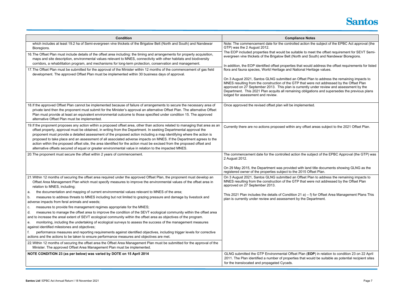

# the subject of the EPBC Act approval (the eet the offset requirement for SEVT Semiouth) and Nandewar Bioregions. I address the offset requirements for listed ritage values. an to address the remaining impacts to re not addressed by the Offset Plan ander review and assessment by the tions and supersedes the previous plans areas subject to the 2021 Offset Plan. bject of the EPBC Approval (the GTP) was I title documents showing GLNG as the fset Plan. an to address the remaining impacts to  $\pi$  re not addressed by the Offset Plan for Offset Area Management Plans This partment. **DP**) in relation to condition 23 on 22 April uld be suitable as potential recipient sites

| <b>Condition</b>                                                                                                                                                                                                                                                                                                                                                                                                                                                                                                                                                                                                                                                                                                                     | <b>Compliance Notes</b>                                                                                                                                                                                                                                                              |
|--------------------------------------------------------------------------------------------------------------------------------------------------------------------------------------------------------------------------------------------------------------------------------------------------------------------------------------------------------------------------------------------------------------------------------------------------------------------------------------------------------------------------------------------------------------------------------------------------------------------------------------------------------------------------------------------------------------------------------------|--------------------------------------------------------------------------------------------------------------------------------------------------------------------------------------------------------------------------------------------------------------------------------------|
| which includes at least 19.2 ha of Semi-evergreen vine thickets of the Brigalow Belt (North and South) and Nandewar<br>Bioregions.                                                                                                                                                                                                                                                                                                                                                                                                                                                                                                                                                                                                   | Note: The commencement date for the controlled action the<br>GTP) was the 2 August 2012.                                                                                                                                                                                             |
| 16. The Offset Plan must include details of the offset area including: the timing and arrangements for property acquisition,<br>maps and site description, environmental values relevant to MNES, connectivity with other habitats and biodiversity<br>corridors, a rehabilitation program, and mechanisms for long-term protection, conservation and management.                                                                                                                                                                                                                                                                                                                                                                    | The EOP included properties that would be suitable to meet<br>evergreen vine thickets of the Brigalow Belt (North and Sou<br>In addition, the EOP identified offset properties that would a                                                                                          |
| 17. The Offset Plan must be submitted for the approval of the Minister within 12 months of the commencement of gas field<br>development. The approved Offset Plan must be implemented within 30 business days of approval.                                                                                                                                                                                                                                                                                                                                                                                                                                                                                                           | flora and fauna species, World Heritage and National Herita                                                                                                                                                                                                                          |
|                                                                                                                                                                                                                                                                                                                                                                                                                                                                                                                                                                                                                                                                                                                                      | On 3 August 2021, Santos GLNG submitted an Offset Plan<br>MNES resulting from the construction of the GTP that were<br>approved on 27 September 2013. This plan is currently und<br>Department. This 2021 Plan acquits all remaining obligation<br>lodged for assessment and review. |
| 18. If the approved Offset Plan cannot be implemented because of failure of arrangements to secure the necessary area of<br>private land then the proponent must submit for the Minister's approval an alternative Offset Plan. The alternative Offset<br>Plan must provide at least an equivalent environmental outcome to those specified under condition 15. The approved<br>alternative Offset Plan must be implemented.                                                                                                                                                                                                                                                                                                         | Once approved the revised offset plan will be implemented.                                                                                                                                                                                                                           |
| 19. If the proponent proposes any action within a proposed offset area, other than actions related to managing that area as an<br>offset property, approval must be obtained, in writing from the Department. In seeking Departmental approval the<br>proponent must provide a detailed assessment of the proposed action including a map identifying where the action is<br>proposed to take place and an assessment of all associated adverse impacts on MNES. If the Department agrees to the<br>action within the proposed offset site, the area identified for the action must be excised from the proposed offset and<br>alternative offsets secured of equal or greater environmental value in relation to the impacted MNES. | Currently there are no actions proposed within any offset ar                                                                                                                                                                                                                         |
| 20. The proponent must secure the offset within 2 years of commencement.                                                                                                                                                                                                                                                                                                                                                                                                                                                                                                                                                                                                                                                             | The commencement date for the controlled action the subje<br>2 August 2012.                                                                                                                                                                                                          |
|                                                                                                                                                                                                                                                                                                                                                                                                                                                                                                                                                                                                                                                                                                                                      | On 29 May 2015, the Department was provided with land tit<br>registered owner of the properties subject to the 2015 Offse                                                                                                                                                            |
| 21. Within 12 months of securing the offset area required under the approved Offset Plan, the proponent must develop an<br>Offset Area Management Plan which must specify measures to improve the environmental values of the offset area in<br>relation to MNES, including;                                                                                                                                                                                                                                                                                                                                                                                                                                                         | On 3 August 2021, Santos GLNG submitted an Offset Plan<br>MNES resulting from the construction of the GTP that were<br>approved on 27 September 2013.                                                                                                                                |
| the documentation and mapping of current environmental values relevant to MNES of the area;<br>a.<br>measures to address threats to MNES including but not limited to grazing pressure and damage by livestock and<br>b.<br>adverse impacts from feral animals and weeds;                                                                                                                                                                                                                                                                                                                                                                                                                                                            | This 2021 Plan includes the details of Condition 21 a) – f) for<br>plan is currently under review and assessment by the Depa                                                                                                                                                         |
| measures to provide fire management regimes appropriate for the MNES;<br>C.<br>measures to manage the offset area to improve the condition of the SEVT ecological community within the offset area<br>d.<br>and to increase the areal extent of SEVT ecological community within the offset area as objectives of the program.                                                                                                                                                                                                                                                                                                                                                                                                       |                                                                                                                                                                                                                                                                                      |
| monitoring, including the undertaking of ecological surveys to assess the success of the management measures<br>е.<br>against identified milestones and objectives;                                                                                                                                                                                                                                                                                                                                                                                                                                                                                                                                                                  |                                                                                                                                                                                                                                                                                      |
| performance measures and reporting requirements against identified objectives, including trigger levels for corrective<br>actions and the actions to be taken to ensure performance measures and objectives are met.                                                                                                                                                                                                                                                                                                                                                                                                                                                                                                                 |                                                                                                                                                                                                                                                                                      |
| 22. Within 12 months of securing the offset area the Offset Area Management Plan must be submitted for the approval of the<br>Minister. The approved Offset Area Management Plan must be implemented.                                                                                                                                                                                                                                                                                                                                                                                                                                                                                                                                |                                                                                                                                                                                                                                                                                      |
| NOTE CONDITION 23 (as per below) was varied by DOTE on 15 April 2014                                                                                                                                                                                                                                                                                                                                                                                                                                                                                                                                                                                                                                                                 | GLNG submitted the GTP Environmental Offset Plan (EOP<br>2011. The Plan identified a number of properties that would<br>for the translocated and propagated Cycads.                                                                                                                  |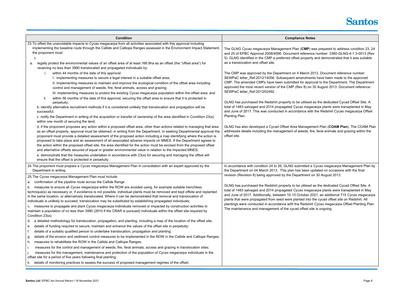## **Santos**

was prepared to address condition 23, 24 ce number: 3380-GLNG-4-1.3-0013 (Rev ty and demonstrated that it was suitable

2013. Document reference number: nts have been made to the approved roval to the Department. The Department 30 August 2013. Document reference:

des the dedicated Cycad Offset Site. A acarpa plants were transplanted in May th the Redshirt Cycas megacarpa Offset

ment Plan (COAM Plan). The COAM Plan ire, feral animals and grazing within the

**Cycas megacarpa Management Plan by** updated on occasions with the final on 30 August 2013.

l as the dedicated Cycad Offset Site. A a*carpa* plants were transplanted in May 2021, an additional 715 *Cycas megacarpa* the cycad offset site on Redshirt. All rt *Cycas megacarpa* Offset Planting Plan. ite is ongoing.

| <b>Condition</b>                                                                                                                                                                                                                                                                                                                                                                                                                                                                                                                                                                                                                                                                                                                                                                                                                                                                                                                                      | <b>Compliance Notes</b>                                                                                                                                                                                                                                                                                                                                                                                                                                                   |
|-------------------------------------------------------------------------------------------------------------------------------------------------------------------------------------------------------------------------------------------------------------------------------------------------------------------------------------------------------------------------------------------------------------------------------------------------------------------------------------------------------------------------------------------------------------------------------------------------------------------------------------------------------------------------------------------------------------------------------------------------------------------------------------------------------------------------------------------------------------------------------------------------------------------------------------------------------|---------------------------------------------------------------------------------------------------------------------------------------------------------------------------------------------------------------------------------------------------------------------------------------------------------------------------------------------------------------------------------------------------------------------------------------------------------------------------|
| 23. To offset the unavoidable impacts to Cycas megacarpa from all activities associated with this approval including                                                                                                                                                                                                                                                                                                                                                                                                                                                                                                                                                                                                                                                                                                                                                                                                                                  |                                                                                                                                                                                                                                                                                                                                                                                                                                                                           |
| implementing the baseline route through the Callide and Calliope Ranges assessed in the Environment Impact Statement,<br>the proponent must:<br>1.<br>legally protect the environmental values of an offset area of at least 166.8ha as an offset (the "offset area") for<br>a.                                                                                                                                                                                                                                                                                                                                                                                                                                                                                                                                                                                                                                                                       | The GLNG Cycas megacarpa Management Plan (CMP) wa<br>and 25 of EPBC Approval 2008/4096. Document reference<br>5). GLNG identified in the CMP a preferred offset property a<br>as a translocation and offset site.                                                                                                                                                                                                                                                         |
| receiving no less than 3990 translocated and propagated individuals by:<br>within 44 months of the date of this approval:<br>I. implementing measures to secure a legal interest in a suitable offset area;<br>II. implementing measures to maintain and improve the ecological condition of the offset area including<br>control and management of weeds, fire, feral animals, access and grazing;<br>III. implementing measures to protect the existing Cycas megacarpa population within the offset area; and<br>within 56 months of the date of this approval, securing the offset area to ensure that it is protected in<br>perpetuity;<br>b. identify alternative recruitment methods if it is considered unlikely that translocation and propagation will be<br>successful;<br>c. notify the Department in writing of the acquisition or transfer of ownership of the area identified in Condition 23(a)                                       | The CMP was approved by the Department on 4 March 201<br>SEWPaC letter_Ref:2012/14056. Subsequent amendments<br>CMP. The amended CMPs have been submitted for approv<br>approved the most recent version of the CMP (Rev 8) on 30<br>SEWPaC letter_Ref:2013/02492.<br>GLNG has purchased the Redshirt property to be utilised a<br>total of 1483 salvaged and 2014 propagated Cycas megaca<br>and June of 2017. This was conducted in accordance with t<br>Planting Plan. |
| within one month of securing the land;<br>d. if the proponent proposes any action within a proposed offset area, other than actions related to managing that area<br>as an offset property, approval must be obtained, in writing from the Department. In seeking Departmental approval the<br>proponent must provide a detailed assessment of the proposed action including a map identifying where the action is<br>proposed to take place and an assessment of all associated adverse impacts on MNES. If the Department agrees to<br>the action within the proposed offset site, the area identified for the action must be excised from the proposed offset<br>and alternative offsets secured of equal or greater environmental value in relation to the impacted MNES;<br>e. demonstrate that the measures undertaken in accordance with 23(a) for securing and managing the offset will<br>ensure that the offset is protected in perpetuity. | GLNG has also developed a Cycad Offset Area Manageme<br>addresses details including the management of weeds, fire<br>offset site.                                                                                                                                                                                                                                                                                                                                         |
| 24. The proponent must prepare a Cycas megacarpa Management Plan in consultation with an expert approved by the<br>Department in writing.                                                                                                                                                                                                                                                                                                                                                                                                                                                                                                                                                                                                                                                                                                                                                                                                             | In accordance with condition 24 to 26, GLNG submitted a C<br>the Department on 04 March 2013. This plan has been up                                                                                                                                                                                                                                                                                                                                                       |
| 25. The Cycas megacarpa Management Plan must include:                                                                                                                                                                                                                                                                                                                                                                                                                                                                                                                                                                                                                                                                                                                                                                                                                                                                                                 | revision (Revision 8) being approved by the Department on                                                                                                                                                                                                                                                                                                                                                                                                                 |
| a. confirmation of the pipeline route across the Callide Range<br>measures to ensure all Cycas megacarpa within the ROW are avoided using, for example suitable trenchless<br>b.<br>technique(s) as necessary or, if avoidance is not possible, individual plants must be removed and kept offsite and replanted<br>in the same location, or alternatively translocated. Where it can be demonstrated that removal and translocation of<br>individuals is unlikely to succeed, translocation may be substituted by establishing propagated individuals;                                                                                                                                                                                                                                                                                                                                                                                               | GLNG has purchased the Redshirt property to be utilised a<br>total of 1483 salvaged and 2014 propagated Cycas megaca<br>and June of 2017. Additionally, between 10-15 October 202<br>plants that were propagated from seed were planted into th                                                                                                                                                                                                                           |
| c. measures to propagate and plant Cycas megacarpa individuals removed or impacted by construction activities to<br>maintain a population of no less than 3990 (2610 if the CRAR is pursued) individuals within the offset site required by<br>Condition 23(a);                                                                                                                                                                                                                                                                                                                                                                                                                                                                                                                                                                                                                                                                                       | plantings were conducted in accordance with the Redshirt (<br>The maintenance and management of the cycad offset site                                                                                                                                                                                                                                                                                                                                                     |
| a detailed methodology for translocation, propagation, and planting, including a map of the location of the offset site;<br>d.                                                                                                                                                                                                                                                                                                                                                                                                                                                                                                                                                                                                                                                                                                                                                                                                                        |                                                                                                                                                                                                                                                                                                                                                                                                                                                                           |
| details of funding required to secure, maintain and enhance the values of the offset site in perpetuity;<br>е.                                                                                                                                                                                                                                                                                                                                                                                                                                                                                                                                                                                                                                                                                                                                                                                                                                        |                                                                                                                                                                                                                                                                                                                                                                                                                                                                           |
| details of a suitably qualified person to undertake translocation, propagation and planting;<br>f.                                                                                                                                                                                                                                                                                                                                                                                                                                                                                                                                                                                                                                                                                                                                                                                                                                                    |                                                                                                                                                                                                                                                                                                                                                                                                                                                                           |
| details of the erosion and sediment control measures to be implemented in the ROW in the Callide and Calliope Ranges;<br>g.                                                                                                                                                                                                                                                                                                                                                                                                                                                                                                                                                                                                                                                                                                                                                                                                                           |                                                                                                                                                                                                                                                                                                                                                                                                                                                                           |
| measures to rehabilitate the ROW in the Callide and Calliope Ranges;<br>h.                                                                                                                                                                                                                                                                                                                                                                                                                                                                                                                                                                                                                                                                                                                                                                                                                                                                            |                                                                                                                                                                                                                                                                                                                                                                                                                                                                           |
| measures for the control and management of weeds, fire, feral animals, access and grazing in translocation sites;<br>j.                                                                                                                                                                                                                                                                                                                                                                                                                                                                                                                                                                                                                                                                                                                                                                                                                               |                                                                                                                                                                                                                                                                                                                                                                                                                                                                           |
| measures for the management, maintenance and protection of the population of Cycas megacarpa individuals in the<br>offset site for a period of five years following final planting;                                                                                                                                                                                                                                                                                                                                                                                                                                                                                                                                                                                                                                                                                                                                                                   |                                                                                                                                                                                                                                                                                                                                                                                                                                                                           |
| k. details of monitoring practices to assess the success of proposed management regimes of the offset;                                                                                                                                                                                                                                                                                                                                                                                                                                                                                                                                                                                                                                                                                                                                                                                                                                                |                                                                                                                                                                                                                                                                                                                                                                                                                                                                           |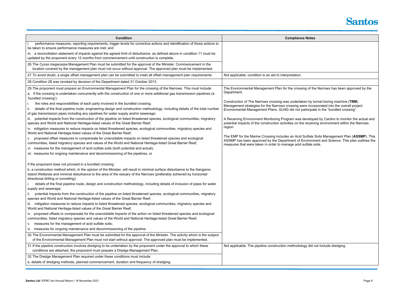| <b>Condition</b>                                                                                                                                                                                                                                                                                                                                                                              | <b>Compliance Notes</b>                                                                                                                                                                                                                                                 |
|-----------------------------------------------------------------------------------------------------------------------------------------------------------------------------------------------------------------------------------------------------------------------------------------------------------------------------------------------------------------------------------------------|-------------------------------------------------------------------------------------------------------------------------------------------------------------------------------------------------------------------------------------------------------------------------|
| performance measures, reporting requirements, trigger levels for corrective actions and identification of those actions to                                                                                                                                                                                                                                                                    |                                                                                                                                                                                                                                                                         |
| be taken to ensure performance measures are met; and                                                                                                                                                                                                                                                                                                                                          |                                                                                                                                                                                                                                                                         |
| m. a reconciliation statement of impacts against the agreed limit of disturbance, as defined above in condition 11 must be<br>updated by the proponent every 12 months from commencement until construction is complete.                                                                                                                                                                      |                                                                                                                                                                                                                                                                         |
| 26. The Cycas megacarpa Management Plan must be submitted for the approval of the Minister. Commencement in the<br>location covered by the management plan must not occur without approval. The approved plan must be implemented.                                                                                                                                                            |                                                                                                                                                                                                                                                                         |
| 27. To avoid doubt, a single offset management plan can be submitted to meet all offset management plan requirements.                                                                                                                                                                                                                                                                         | Not applicable; condition is an aid to interpretation.                                                                                                                                                                                                                  |
| 28. Condition 28 was revoked by decision of the Department dated 31 October 2013.                                                                                                                                                                                                                                                                                                             |                                                                                                                                                                                                                                                                         |
| 29. The proponent must prepare an Environmental Management Plan for the crossing of the Narrows. This must include:<br>a. if the crossing is undertaken concurrently with the construction of one or more additional gas transmission pipelines (a<br>'bundled crossing'):                                                                                                                    | The Environmental Management Plan for the crossing of the Narrows has been approved by the<br>Department.                                                                                                                                                               |
| the roles and responsibilities of each party involved in the bundled crossing;<br>details of the final pipeline route, engineering design and construction methodology, including details of the total number<br>-ii.<br>of gas transmission pipes including any pipelines for water supply and/or sewerage;                                                                                  | Construction of The Narrows crossing was undertaken by tunnel boring machine (TBM).<br>Management strategies for the Narrows crossing were incorporated into the overall project<br>Environmental Management Plans. GLNG did not participate in the "bundled crossing". |
| iii. potential impacts from the construction of the pipeline on listed threatened species, ecological communities, migratory<br>species and World and National Heritage-listed values of the Great Barrier Reef;<br>iv. mitigation measures to reduce impacts on listed threatened species, ecological communities, migratory species and                                                     | A Receiving Environment Monitoring Program was developed by Cardno to monitor the actual and<br>potential impacts of the construction activities on the receiving environment within the Narrows<br>region.                                                             |
| World and National Heritage-listed values of the Great Barrier Reef;<br>v. proposed offset measures to compensate for unavoidable impacts on listed threatened species and ecological<br>communities, listed migratory species and values of the World and National Heritage-listed Great Barrier Reef;<br>vi. measures for the management of acid sulfate soils (both potential and actual); | The EMP for the Marine Crossing includes an Acid Sulfate Soils Management Plan (ASSMP). This<br>ASSMP has been approved by the Department of Environment and Science. This plan outlines the<br>measures that were taken in order to manage acid sulfate soils.         |
| vii. measures for ongoing maintenance and decommissioning of the pipelines, or                                                                                                                                                                                                                                                                                                                |                                                                                                                                                                                                                                                                         |
|                                                                                                                                                                                                                                                                                                                                                                                               |                                                                                                                                                                                                                                                                         |
| If the proponent does not proceed in a bundled crossing:                                                                                                                                                                                                                                                                                                                                      |                                                                                                                                                                                                                                                                         |
| b. a construction method which, in the opinion of the Minister, will result in minimal surface disturbance to the Kangaroo<br>Island Wetlands and minimal disturbance to the area of the estuary of the Narrows (preferably achieved by horizontal<br>directional drilling or tunnelling);                                                                                                    |                                                                                                                                                                                                                                                                         |
| details of the final pipeline route, design and construction methodology, including details of inclusion of pipes for water<br>supply and sewerage;                                                                                                                                                                                                                                           |                                                                                                                                                                                                                                                                         |
| potential impacts from the construction of the pipeline on listed threatened species, ecological communities, migratory<br>ii.<br>species and World and National Heritage-listed values of the Great Barrier Reef;                                                                                                                                                                            |                                                                                                                                                                                                                                                                         |
| iii. mitigation measures to reduce impacts to listed threatened species, ecological communities, migratory species and<br>World and National Heritage-listed values of the Great Barrier Reef;                                                                                                                                                                                                |                                                                                                                                                                                                                                                                         |
| iv. proposed offsets to compensate for the unavoidable impacts of the action on listed threatened species and ecological<br>communities, listed migratory species and values of the World and National Heritage-listed Great Barrier Reef;                                                                                                                                                    |                                                                                                                                                                                                                                                                         |
| v. measures for the management of acid sulfate soils;                                                                                                                                                                                                                                                                                                                                         |                                                                                                                                                                                                                                                                         |
| vi. measures for ongoing maintenance and decommissioning of the pipeline.                                                                                                                                                                                                                                                                                                                     |                                                                                                                                                                                                                                                                         |
| 30. The Environmental Management Plan must be submitted for the approval of the Minister. The activity which is the subject<br>of the Environmental Management Plan must not start without approval. The approved plan must be implemented.                                                                                                                                                   |                                                                                                                                                                                                                                                                         |
| 31. If the pipeline construction involves dredging to be undertaken by the proponent under the approval to which these<br>conditions are attached, the proponent must prepare a Dredge Management Plan.                                                                                                                                                                                       | Not applicable. The pipeline construction methodology did not include dredging.                                                                                                                                                                                         |
| 32. The Dredge Management Plan required under these conditions must include:                                                                                                                                                                                                                                                                                                                  |                                                                                                                                                                                                                                                                         |
| a. details of dredging methods, planned commencement, duration and frequency of dredging;                                                                                                                                                                                                                                                                                                     |                                                                                                                                                                                                                                                                         |



| es                                                                     |
|------------------------------------------------------------------------|
|                                                                        |
|                                                                        |
|                                                                        |
|                                                                        |
|                                                                        |
|                                                                        |
|                                                                        |
| the Narrows has been approved by the                                   |
| tunnel boring machine (TBM).                                           |
| corporated into the overall project<br>bate in the "bundled crossing". |
| oped by Cardno to monitor the actual and                               |
| eiving environment within the Narrows                                  |
|                                                                        |
| e Soils Management Plan (ASSMP). This                                  |
| nment and Science. This plan outlines the<br>e soils.                  |
|                                                                        |
|                                                                        |
|                                                                        |
|                                                                        |
|                                                                        |
|                                                                        |
|                                                                        |
|                                                                        |
|                                                                        |
|                                                                        |
|                                                                        |
|                                                                        |
|                                                                        |
|                                                                        |
|                                                                        |
| d not include dredging.                                                |
|                                                                        |
|                                                                        |
|                                                                        |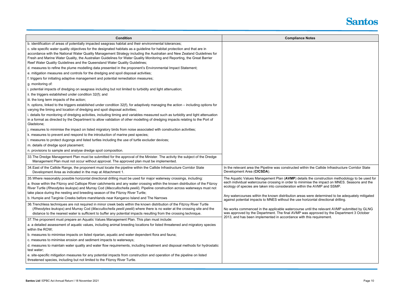| <b>Condition</b>                                                                                                                                                                                                                                                                                                                                                                                                                                               | <b>Compliance Notes</b>                                                                                                                                                               |
|----------------------------------------------------------------------------------------------------------------------------------------------------------------------------------------------------------------------------------------------------------------------------------------------------------------------------------------------------------------------------------------------------------------------------------------------------------------|---------------------------------------------------------------------------------------------------------------------------------------------------------------------------------------|
| b. identification of areas of potentially impacted seagrass habitat and their environmental tolerances;                                                                                                                                                                                                                                                                                                                                                        |                                                                                                                                                                                       |
| c. site specific water quality objectives for the designated habitats as a guideline for habitat protection and that are in<br>accordance with the National Water Quality Management Strategy including the Australian and New Zealand Guidelines for<br>Fresh and Marine Water Quality, the Australian Guidelines for Water Quality Monitoring and Reporting, the Great Barrier<br>Reef Water Quality Guidelines and the Queensland Water Quality Guidelines; |                                                                                                                                                                                       |
| d. measures to refine the plume modelling data presented in the proponent's Environmental Impact Statement;                                                                                                                                                                                                                                                                                                                                                    |                                                                                                                                                                                       |
| e. mitigation measures and controls for the dredging and spoil disposal activities;                                                                                                                                                                                                                                                                                                                                                                            |                                                                                                                                                                                       |
| f. triggers for initiating adaptive management and potential remediation measures;                                                                                                                                                                                                                                                                                                                                                                             |                                                                                                                                                                                       |
| g. monitoring of:                                                                                                                                                                                                                                                                                                                                                                                                                                              |                                                                                                                                                                                       |
| i. potential impacts of dredging on seagrass including but not limited to turbidity and light attenuation;<br>ii. the triggers established under condition 32(f); and                                                                                                                                                                                                                                                                                          |                                                                                                                                                                                       |
| iii. the long term impacts of the action;                                                                                                                                                                                                                                                                                                                                                                                                                      |                                                                                                                                                                                       |
| h. options, linked to the triggers established under condition 32(f), for adaptively managing the action – including options for<br>varying the timing and location of dredging and spoil disposal activities;                                                                                                                                                                                                                                                 |                                                                                                                                                                                       |
| . details for monitoring of dredging activities, including timing and variables measured such as turbidity and light attenuation<br>in a format as directed by the Department to allow validation of other modelling of dredging impacts relating to the Port of<br>Gladstone;                                                                                                                                                                                 |                                                                                                                                                                                       |
| . measures to minimise the impact on listed migratory birds from noise associated with construction activities;                                                                                                                                                                                                                                                                                                                                                |                                                                                                                                                                                       |
| k. measures to prevent and respond to the introduction of marine pest species;                                                                                                                                                                                                                                                                                                                                                                                 |                                                                                                                                                                                       |
| I. measures to protect dugongs and listed turtles including the use of turtle excluder devices;                                                                                                                                                                                                                                                                                                                                                                |                                                                                                                                                                                       |
| m. details of dredge spoil placement;                                                                                                                                                                                                                                                                                                                                                                                                                          |                                                                                                                                                                                       |
| n. provisions to sample and analyse dredge spoil composition.                                                                                                                                                                                                                                                                                                                                                                                                  |                                                                                                                                                                                       |
| 33. The Dredge Management Plan must be submitted for the approval of the Minister. The activity the subject of the Dredge<br>Management Plan must not occur without approval. The approved plan must be implemented.                                                                                                                                                                                                                                           |                                                                                                                                                                                       |
| 34. East of the Callide Range, the proponent must locate the pipeline within the Callide Infrastructure Corridor State<br>Development Area as indicated in the map at Attachment 1.                                                                                                                                                                                                                                                                            | In the relevant area the Pipeline was constructed within the Callide Infrastructure Corridor State<br>Development Area (CICSDA).                                                      |
| 35. Where reasonably possible horizontal directional drilling must be used for major waterway crossings, including:                                                                                                                                                                                                                                                                                                                                            | The Aquatic Values Management Plan (AVMP) details the construction methodology to be used fo                                                                                          |
| a. those within the Fitzroy and Calliope River catchments and any water crossing within the known distribution of the Fitzroy<br>River Turtle (Rheodytes leukops) and Murray Cod (Maccullochella peelii). Pipeline construction across waterways must not                                                                                                                                                                                                      | each individual watercourse crossing in order to minimise the impact on MNES. Seasons and the<br>ecology of species are taken into consideration within the AVMP and SSMP.            |
| take place during the nesting and breeding season of the Fitzroy River Turtle;                                                                                                                                                                                                                                                                                                                                                                                 | Any watercourses within the known distribution areas were determined to be adequately mitigated                                                                                       |
| b. Humpie and Targinie Creeks before marshlands near Kangaroo Island and The Narrows                                                                                                                                                                                                                                                                                                                                                                           | against potential impacts to MNES without the use horizontal directional drilling.                                                                                                    |
| 36. Trenchless techniques are not required in minor creek beds within the known distribution of the Fitzroy River Turtle<br>(Rheodytes leukops) and Murray Cod (Maccullochella peelii peelii) where there is no water at the crossing site and the<br>distance to the nearest water is sufficient to buffer any potential impacts resulting from the crossing technique.                                                                                       | No works commenced in the applicable watercourse until the relevant AVMP submitted by GLNG<br>was approved by the Department. The final AVMP was approved by the Department 3 October |
| 37. The proponent must prepare an Aquatic Values Management Plan. This plan must include:                                                                                                                                                                                                                                                                                                                                                                      | 2013, and has been implemented in accordance with this requirement.                                                                                                                   |
| a. a detailed assessment of aquatic values, including animal breeding locations for listed threatened and migratory species<br>within the ROW;                                                                                                                                                                                                                                                                                                                 |                                                                                                                                                                                       |
| b. measures to minimise impacts on listed riparian, aquatic and water dependent flora and fauna;                                                                                                                                                                                                                                                                                                                                                               |                                                                                                                                                                                       |
| c. measures to minimise erosion and sediment impacts to waterways;                                                                                                                                                                                                                                                                                                                                                                                             |                                                                                                                                                                                       |
| d. measures to maintain water quality and water flow requirements, including treatment and disposal methods for hydrostatic<br>test water;                                                                                                                                                                                                                                                                                                                     |                                                                                                                                                                                       |
| e. site-specific mitigation measures for any potential impacts from construction and operation of the pipeline on listed<br>threatened species, including but not limited to the Fitzroy River Turtle.                                                                                                                                                                                                                                                         |                                                                                                                                                                                       |
|                                                                                                                                                                                                                                                                                                                                                                                                                                                                |                                                                                                                                                                                       |



the Aquatic Values on Apples construction methodology to be used for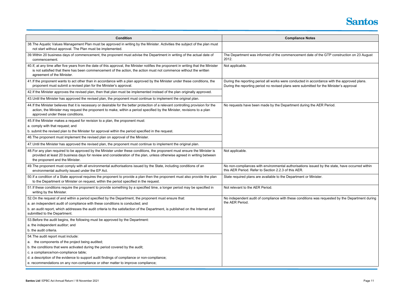| <b>Condition</b>                                                                                                                                                                                                                                                                                                                                          | <b>Compliance Notes</b>                                                                                                                                                                |
|-----------------------------------------------------------------------------------------------------------------------------------------------------------------------------------------------------------------------------------------------------------------------------------------------------------------------------------------------------------|----------------------------------------------------------------------------------------------------------------------------------------------------------------------------------------|
| 38. The Aquatic Values Management Plan must be approved in writing by the Minister. Activities the subject of the plan must<br>not start without approval. The Plan must be implemented.                                                                                                                                                                  |                                                                                                                                                                                        |
| 39. Within 20 business days of commencement, the proponent must advise the Department in writing of the actual date of<br>commencement.                                                                                                                                                                                                                   | The Department was informed of the commencement date of the GTP construction on 23 August<br>2012.                                                                                     |
| 40. If, at any time after five years from the date of this approval, the Minister notifies the proponent in writing that the Minister<br>is not satisfied that there has been commencement of the action, the action must not commence without the written<br>agreement of the Minister.                                                                  | Not applicable.                                                                                                                                                                        |
| 41. If the proponent wants to act other than in accordance with a plan approved by the Minister under these conditions, the<br>proponent must submit a revised plan for the Minister's approval.                                                                                                                                                          | During the reporting period all works were conducted in accordance with the approved plans.<br>During the reporting period no revised plans were submitted for the Minister's approval |
| 42. If the Minister approves the revised plan, then that plan must be implemented instead of the plan originally approved.                                                                                                                                                                                                                                |                                                                                                                                                                                        |
| 43. Until the Minister has approved the revised plan, the proponent must continue to implement the original plan.                                                                                                                                                                                                                                         |                                                                                                                                                                                        |
| 44. If the Minister believes that it is necessary or desirable for the better protection of a relevant controlling provision for the<br>action, the Minister may request the proponent to make, within a period specified by the Minister, revisions to a plan<br>approved under these conditions.                                                        | No requests have been made by the Department during the AER Period.                                                                                                                    |
| 45. If the Minister makes a request for revision to a plan, the proponent must:                                                                                                                                                                                                                                                                           |                                                                                                                                                                                        |
| a. comply with that request; and                                                                                                                                                                                                                                                                                                                          |                                                                                                                                                                                        |
| b. submit the revised plan to the Minister for approval within the period specified in the request.                                                                                                                                                                                                                                                       |                                                                                                                                                                                        |
| 46. The proponent must implement the revised plan on approval of the Minister.                                                                                                                                                                                                                                                                            |                                                                                                                                                                                        |
| 47. Until the Minister has approved the revised plan, the proponent must continue to implement the original plan.                                                                                                                                                                                                                                         |                                                                                                                                                                                        |
| 48. For any plan required to be approved by the Minister under these conditions, the proponent must ensure the Minister is<br>provided at least 20 business days for review and consideration of the plan, unless otherwise agreed in writing between<br>the proponent and the Minister.                                                                  | Not applicable.                                                                                                                                                                        |
| 49. The proponent must comply with all environmental authorisations issued by the State, including conditions of an<br>environmental authority issued under the EP Act.                                                                                                                                                                                   | No non-compliances with environmental authorisations issued by the state, have occurred within<br>this AER Period. Refer to Section 2.2.3 of this AER.                                 |
| 50. If a condition of a State approval requires the proponent to provide a plan then the proponent must also provide the plan<br>to the Department or Minister on request, within the period specified in the request.                                                                                                                                    | State required plans are available to the Department or Minister.                                                                                                                      |
| 51. If these conditions require the proponent to provide something by a specified time, a longer period may be specified in<br>writing by the Minister.                                                                                                                                                                                                   | Not relevant to the AER Period.                                                                                                                                                        |
| 52. On the request of and within a period specified by the Department, the proponent must ensure that:<br>a. an independent audit of compliance with these conditions is conducted; and<br>b. an audit report, which addresses the audit criteria to the satisfaction of the Department, is published on the Internet and<br>submitted to the Department. | No independent audit of compliance with these conditions was requested by the Department during<br>the AER Period.                                                                     |
| 53. Before the audit begins, the following must be approved by the Department:                                                                                                                                                                                                                                                                            |                                                                                                                                                                                        |
| a. the independent auditor; and                                                                                                                                                                                                                                                                                                                           |                                                                                                                                                                                        |
| b. the audit criteria.                                                                                                                                                                                                                                                                                                                                    |                                                                                                                                                                                        |
| 54. The audit report must include:                                                                                                                                                                                                                                                                                                                        |                                                                                                                                                                                        |
| a. the components of the project being audited;                                                                                                                                                                                                                                                                                                           |                                                                                                                                                                                        |
| b. the conditions that were activated during the period covered by the audit;                                                                                                                                                                                                                                                                             |                                                                                                                                                                                        |
| c. a compliance/non-compliance table;                                                                                                                                                                                                                                                                                                                     |                                                                                                                                                                                        |
| d. a description of the evidence to support audit findings of compliance or non-compliance;                                                                                                                                                                                                                                                               |                                                                                                                                                                                        |
| e. recommendations on any non-compliance or other matter to improve compliance;                                                                                                                                                                                                                                                                           |                                                                                                                                                                                        |



| es                                                                   |
|----------------------------------------------------------------------|
|                                                                      |
| e of the GTP construction on 23 August                               |
|                                                                      |
| ccordance with the approved plans.<br>ed for the Minister's approval |
| he AER Period.                                                       |
|                                                                      |
| sued by the state, have occurred within                              |
| linister.                                                            |
|                                                                      |
| was requested by the Department during                               |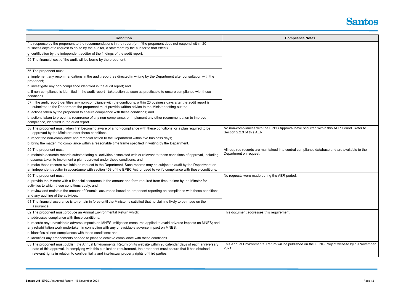| <b>Condition</b>                                                                                                                                                                                                                                                                                                                                       | <b>Compliance Notes</b>                                                                                                |
|--------------------------------------------------------------------------------------------------------------------------------------------------------------------------------------------------------------------------------------------------------------------------------------------------------------------------------------------------------|------------------------------------------------------------------------------------------------------------------------|
| f. a response by the proponent to the recommendations in the report (or, if the proponent does not respond within 20                                                                                                                                                                                                                                   |                                                                                                                        |
| business days of a request to do so by the auditor, a statement by the auditor to that effect);                                                                                                                                                                                                                                                        |                                                                                                                        |
| g. certification by the independent auditor of the findings of the audit report.                                                                                                                                                                                                                                                                       |                                                                                                                        |
| 55. The financial cost of the audit will be borne by the proponent.                                                                                                                                                                                                                                                                                    |                                                                                                                        |
| 56. The proponent must:                                                                                                                                                                                                                                                                                                                                |                                                                                                                        |
| a. implement any recommendations in the audit report, as directed in writing by the Department after consultation with the<br>proponent;                                                                                                                                                                                                               |                                                                                                                        |
| b. investigate any non-compliance identified in the audit report; and                                                                                                                                                                                                                                                                                  |                                                                                                                        |
| c. if non-compliance is identified in the audit report - take action as soon as practicable to ensure compliance with these<br>conditions.                                                                                                                                                                                                             |                                                                                                                        |
| 57. If the audit report identifies any non-compliance with the conditions, within 20 business days after the audit report is<br>submitted to the Department the proponent must provide written advice to the Minister setting out the:                                                                                                                 |                                                                                                                        |
| a. actions taken by the proponent to ensure compliance with these conditions; and                                                                                                                                                                                                                                                                      |                                                                                                                        |
| b. actions taken to prevent a recurrence of any non-compliance, or implement any other recommendation to improve<br>compliance, identified in the audit report.                                                                                                                                                                                        |                                                                                                                        |
| 58. The proponent must, when first becoming aware of a non-compliance with these conditions, or a plan required to be<br>approved by the Minister under these conditions:                                                                                                                                                                              | No non-compliances with the EPBC Approval have occurred within this AER Period. Refer to<br>Section 2.2.3 of this AER. |
| a. report the non-compliance and remedial action to the Department within five business days;                                                                                                                                                                                                                                                          |                                                                                                                        |
| b. bring the matter into compliance within a reasonable time frame specified in writing by the Department.                                                                                                                                                                                                                                             |                                                                                                                        |
| 59. The proponent must:                                                                                                                                                                                                                                                                                                                                | All required records are maintained in a central compliance database and are available to the                          |
| a. maintain accurate records substantiating all activities associated with or relevant to these conditions of approval, including<br>measures taken to implement a plan approved under these conditions; and                                                                                                                                           | Department on request.                                                                                                 |
| b. make those records available on request to the Department. Such records may be subject to audit by the Department or<br>an independent auditor in accordance with section 458 of the EPBC Act, or used to verify compliance with these conditions.                                                                                                  |                                                                                                                        |
| 60. The proponent must:                                                                                                                                                                                                                                                                                                                                | No requests were made during the AER period.                                                                           |
| a. provide the Minster with a financial assurance in the amount and form required from time to time by the Minster for<br>activities to which these conditions apply; and                                                                                                                                                                              |                                                                                                                        |
| b. review and maintain the amount of financial assurance based on proponent reporting on compliance with these conditions,<br>and any auditing of the activities.                                                                                                                                                                                      |                                                                                                                        |
| 61. The financial assurance is to remain in force until the Minister is satisfied that no claim is likely to be made on the<br>assurance.                                                                                                                                                                                                              |                                                                                                                        |
| 62. The proponent must produce an Annual Environmental Return which:                                                                                                                                                                                                                                                                                   | This document addresses this requirement.                                                                              |
| a. addresses compliance with these conditions;                                                                                                                                                                                                                                                                                                         |                                                                                                                        |
| b. records any unavoidable adverse impacts on MNES, mitigation measures applied to avoid adverse impacts on MNES; and<br>any rehabilitation work undertaken in connection with any unavoidable adverse impact on MNES;                                                                                                                                 |                                                                                                                        |
| c. identifies all non-compliances with these conditions; and                                                                                                                                                                                                                                                                                           |                                                                                                                        |
| d. identifies any amendments needed to plans to achieve compliance with these conditions.                                                                                                                                                                                                                                                              |                                                                                                                        |
| 63. The proponent must publish the Annual Environmental Return on its website within 20 calendar days of each anniversary<br>date of this approval. In complying with this publication requirement, the proponent must ensure that it has obtained<br>relevant rights in relation to confidentiality and intellectual property rights of third parties | This Annual Environmental Return will be published on the GLNG Project website by 19 November<br>2021.                 |



| )S                                    |  |
|---------------------------------------|--|
|                                       |  |
|                                       |  |
|                                       |  |
|                                       |  |
|                                       |  |
|                                       |  |
|                                       |  |
|                                       |  |
|                                       |  |
|                                       |  |
|                                       |  |
|                                       |  |
|                                       |  |
|                                       |  |
| ed within this AER Period. Refer to   |  |
|                                       |  |
|                                       |  |
|                                       |  |
| e database and are available to the   |  |
|                                       |  |
|                                       |  |
|                                       |  |
|                                       |  |
|                                       |  |
|                                       |  |
|                                       |  |
|                                       |  |
|                                       |  |
|                                       |  |
|                                       |  |
|                                       |  |
|                                       |  |
|                                       |  |
|                                       |  |
| e GLNG Project website by 19 November |  |
|                                       |  |
|                                       |  |